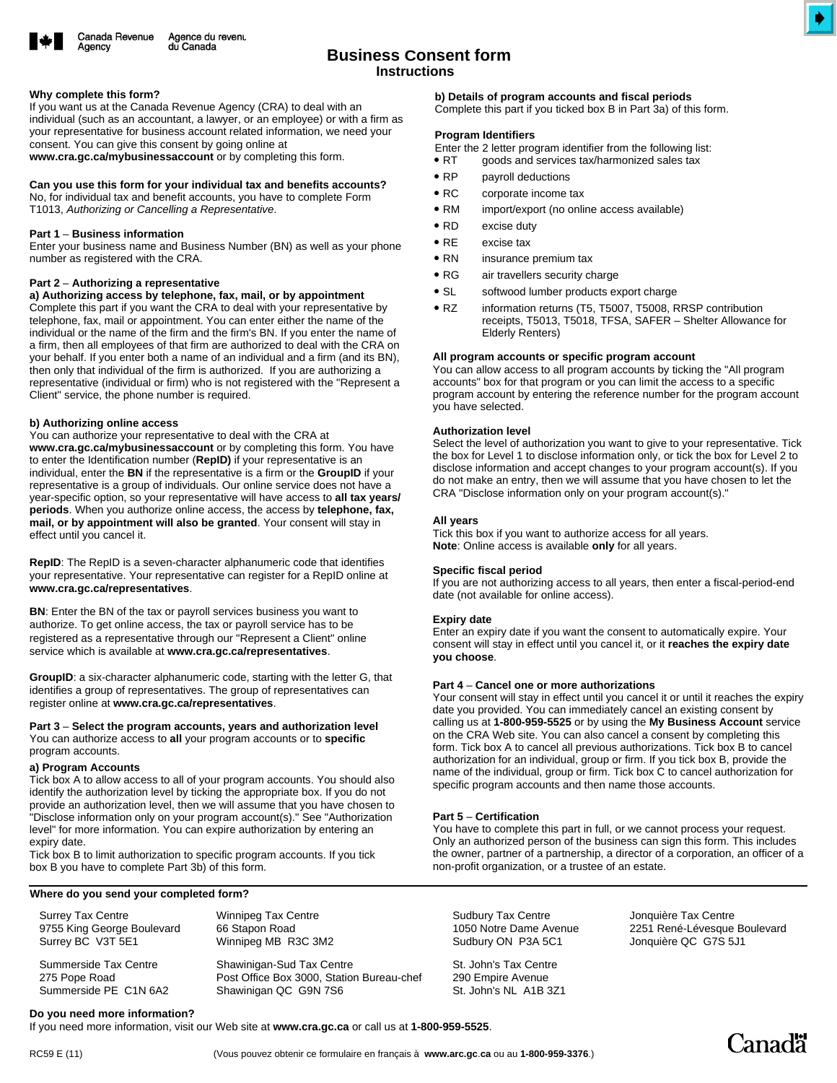

# **Instructions Business Consent form**

#### **Why complete this form?**

Aaencv

If you want us at the Canada Revenue Agency (CRA) to deal with an individual (such as an accountant, a lawyer, or an employee) or with a firm as your representative for business account related information, we need your consent. You can give this consent by going online at

**www.cra.gc.ca/mybusinessaccount** or by completing this form.

## **Can you use this form for your individual tax and benefits accounts?**

No, for individual tax and benefit accounts, you have to complete Form T1013, *Authorizing or Cancelling a Representative*.

## **Part 1** – **Business information**

Enter your business name and Business Number (BN) as well as your phone number as registered with the CRA.

#### **Part 2** – **Authorizing a representative**

**a) Authorizing access by telephone, fax, mail, or by appointment** 

Complete this part if you want the CRA to deal with your representative by telephone, fax, mail or appointment. You can enter either the name of the individual or the name of the firm and the firm's BN. If you enter the name of a firm, then all employees of that firm are authorized to deal with the CRA on your behalf. If you enter both a name of an individual and a firm (and its BN), then only that individual of the firm is authorized. If you are authorizing a representative (individual or firm) who is not registered with the "Represent a Client" service, the phone number is required.

#### **b) Authorizing online access**

You can authorize your representative to deal with the CRA at **www.cra.gc.ca/mybusinessaccount** or by completing this form. You have to enter the Identification number (**RepID)** if your representative is an individual, enter the **BN** if the representative is a firm or the **GroupID** if your representative is a group of individuals. Our online service does not have a year-specific option, so your representative will have access to **all tax years/ periods**. When you authorize online access, the access by **telephone, fax, mail, or by appointment will also be granted**. Your consent will stay in effect until you cancel it.

**RepID**: The RepID is a seven-character alphanumeric code that identifies your representative. Your representative can register for a RepID online at **www.cra.gc.ca/representatives**.

**BN**: Enter the BN of the tax or payroll services business you want to authorize. To get online access, the tax or payroll service has to be registered as a representative through our "Represent a Client" online service which is available at **www.cra.gc.ca/representatives**.

**GroupID**: a six-character alphanumeric code, starting with the letter G, that identifies a group of representatives. The group of representatives can register online at **www.cra.gc.ca/representatives**.

#### **Part 3** – **Select the program accounts, years and authorization level**  You can authorize access to **all** your program accounts or to **specific** program accounts.

#### **a) Program Accounts**

Tick box A to allow access to all of your program accounts. You should also identify the authorization level by ticking the appropriate box. If you do not provide an authorization level, then we will assume that you have chosen to "Disclose information only on your program account(s)." See "Authorization level" for more information. You can expire authorization by entering an expiry date.

Tick box B to limit authorization to specific program accounts. If you tick box B you have to complete Part 3b) of this form.

#### **Where do you send your completed form?**

| <b>Surrey Tax Centre</b>   |
|----------------------------|
| 9755 King George Boulevard |
| Surrey BC V3T 5E1          |

Summerside Tax Centre 275 Pope Road Summerside PE C1N 6A2 Winnipeg Tax Centre 66 Stapon Road Winnipeg MB R3C 3M2

Shawinigan-Sud Tax Centre Post Office Box 3000, Station Bureau-chef Shawinigan QC G9N 7S6

**b) Details of program accounts and fiscal periods**

Complete this part if you ticked box B in Part 3a) of this form.

#### **Program Identifiers**

Enter the 2 letter program identifier from the following list:

- $\bullet$  RT goods and services tax/harmonized sales tax
- $\bullet$  RP payroll deductions
- $\bullet$  RC corporate income tax
- $\bullet$  RM import/export (no online access available)
- $\bullet$  RD excise duty
- $\bullet$  RE excise tax
- $\bullet$  RN insurance premium tax
- $\bullet$  RG air travellers security charge
- $\bullet$  SL softwood lumber products export charge
- $\bullet$  RZ information returns (T5, T5007, T5008, RRSP contribution receipts, T5013, T5018, TFSA, SAFER – Shelter Allowance for Elderly Renters)

#### **All program accounts or specific program account**

You can allow access to all program accounts by ticking the "All program accounts" box for that program or you can limit the access to a specific program account by entering the reference number for the program account you have selected.

## **Authorization level**

Select the level of authorization you want to give to your representative. Tick the box for Level 1 to disclose information only, or tick the box for Level 2 to disclose information and accept changes to your program account(s). If you do not make an entry, then we will assume that you have chosen to let the CRA "Disclose information only on your program account(s)."

#### **All years**

Tick this box if you want to authorize access for all years. **Note**: Online access is available **only** for all years.

## **Specific fiscal period**

If you are not authorizing access to all years, then enter a fiscal-period-end date (not available for online access).

#### **Expiry date**

Enter an expiry date if you want the consent to automatically expire. Your consent will stay in effect until you cancel it, or it **reaches the expiry date you choose**.

## **Part 4** – **Cancel one or more authorizations**

Your consent will stay in effect until you cancel it or until it reaches the expiry date you provided. You can immediately cancel an existing consent by calling us at **1-800-959-5525** or by using the **My Business Account** service on the CRA Web site. You can also cancel a consent by completing this form. Tick box A to cancel all previous authorizations. Tick box B to cancel authorization for an individual, group or firm. If you tick box B, provide the name of the individual, group or firm. Tick box C to cancel authorization for specific program accounts and then name those accounts.

## **Part 5** – **Certification**

You have to complete this part in full, or we cannot process your request. Only an authorized person of the business can sign this form. This includes the owner, partner of a partnership, a director of a corporation, an officer of a non-profit organization, or a trustee of an estate.

Sudbury Tax Centre 1050 Notre Dame Avenue Sudbury ON P3A 5C1

St. John's Tax Centre 290 Empire Avenue St. John's NL A1B 3Z1

Jonquière Tax Centre 2251 René-Lévesque Boulevard Jonquière QC G7S 5J1

# **Do you need more information?**

If you need more information, visit our Web site at **www.cra.gc.ca** or call us at **1-800-959-5525**.



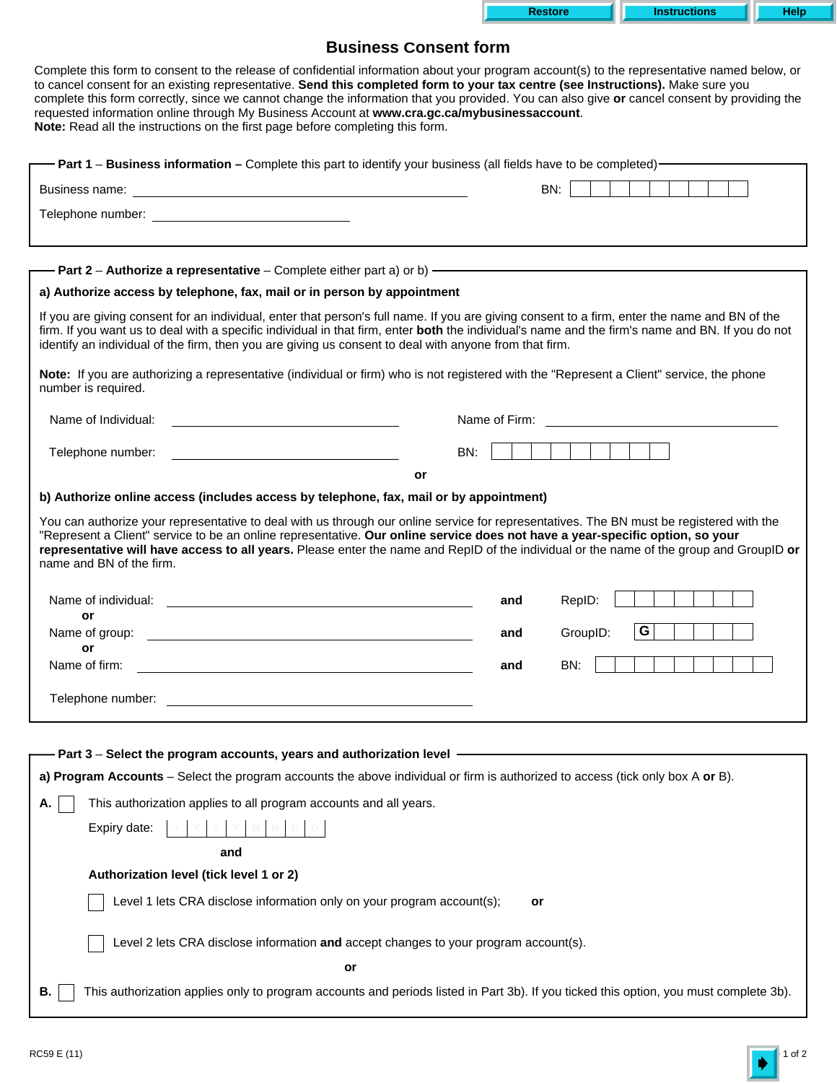| $\rightarrow$ ore $\rightarrow$ | <b>Instructions</b> |  |
|---------------------------------|---------------------|--|

# **Business Consent form**

| Complete this form to consent to the release of confidential information about your program account(s) to the representative named below, or<br>to cancel consent for an existing representative. Send this completed form to your tax centre (see Instructions). Make sure you<br>complete this form correctly, since we cannot change the information that you provided. You can also give or cancel consent by providing the<br>requested information online through My Business Account at www.cra.gc.ca/mybusinessaccount.<br>Note: Read all the instructions on the first page before completing this form. |                                       |  |  |  |  |
|-------------------------------------------------------------------------------------------------------------------------------------------------------------------------------------------------------------------------------------------------------------------------------------------------------------------------------------------------------------------------------------------------------------------------------------------------------------------------------------------------------------------------------------------------------------------------------------------------------------------|---------------------------------------|--|--|--|--|
| - Part 1 - Business information - Complete this part to identify your business (all fields have to be completed) -                                                                                                                                                                                                                                                                                                                                                                                                                                                                                                |                                       |  |  |  |  |
|                                                                                                                                                                                                                                                                                                                                                                                                                                                                                                                                                                                                                   | BN:                                   |  |  |  |  |
|                                                                                                                                                                                                                                                                                                                                                                                                                                                                                                                                                                                                                   |                                       |  |  |  |  |
| - Part 2 - Authorize a representative - Complete either part a) or b) — <b>- The Company of the Company of the Company</b><br>a) Authorize access by telephone, fax, mail or in person by appointment                                                                                                                                                                                                                                                                                                                                                                                                             |                                       |  |  |  |  |
| If you are giving consent for an individual, enter that person's full name. If you are giving consent to a firm, enter the name and BN of the<br>firm. If you want us to deal with a specific individual in that firm, enter both the individual's name and the firm's name and BN. If you do not<br>identify an individual of the firm, then you are giving us consent to deal with anyone from that firm.                                                                                                                                                                                                       |                                       |  |  |  |  |
| Note: If you are authorizing a representative (individual or firm) who is not registered with the "Represent a Client" service, the phone<br>number is required.                                                                                                                                                                                                                                                                                                                                                                                                                                                  |                                       |  |  |  |  |
| Name of Individual:<br>and the control of the control of the control of the control of the control of the control of                                                                                                                                                                                                                                                                                                                                                                                                                                                                                              | Name of Firm:                         |  |  |  |  |
| Telephone number:<br>or                                                                                                                                                                                                                                                                                                                                                                                                                                                                                                                                                                                           | BN:                                   |  |  |  |  |
| You can authorize your representative to deal with us through our online service for representatives. The BN must be registered with the<br>"Represent a Client" service to be an online representative. Our online service does not have a year-specific option, so your<br>representative will have access to all years. Please enter the name and RepID of the individual or the name of the group and GroupID or<br>name and BN of the firm.<br>Name of individual:<br>or<br>Name of group:                                                                                                                   | RepID:<br>and<br>G<br>GroupID:<br>and |  |  |  |  |
| or<br>Name of firm:                                                                                                                                                                                                                                                                                                                                                                                                                                                                                                                                                                                               | BN:<br>and                            |  |  |  |  |
| Telephone number:                                                                                                                                                                                                                                                                                                                                                                                                                                                                                                                                                                                                 |                                       |  |  |  |  |
| Part 3 - Select the program accounts, years and authorization level -                                                                                                                                                                                                                                                                                                                                                                                                                                                                                                                                             |                                       |  |  |  |  |
| a) Program Accounts - Select the program accounts the above individual or firm is authorized to access (tick only box A or B).                                                                                                                                                                                                                                                                                                                                                                                                                                                                                    |                                       |  |  |  |  |
| This authorization applies to all program accounts and all years.<br>Α.                                                                                                                                                                                                                                                                                                                                                                                                                                                                                                                                           |                                       |  |  |  |  |
| Expiry date:                                                                                                                                                                                                                                                                                                                                                                                                                                                                                                                                                                                                      |                                       |  |  |  |  |
| and                                                                                                                                                                                                                                                                                                                                                                                                                                                                                                                                                                                                               |                                       |  |  |  |  |
| Authorization level (tick level 1 or 2)                                                                                                                                                                                                                                                                                                                                                                                                                                                                                                                                                                           |                                       |  |  |  |  |
| Level 1 lets CRA disclose information only on your program account(s);<br>or                                                                                                                                                                                                                                                                                                                                                                                                                                                                                                                                      |                                       |  |  |  |  |
| Level 2 lets CRA disclose information and accept changes to your program account(s).                                                                                                                                                                                                                                                                                                                                                                                                                                                                                                                              |                                       |  |  |  |  |
| or                                                                                                                                                                                                                                                                                                                                                                                                                                                                                                                                                                                                                |                                       |  |  |  |  |
| This authorization applies only to program accounts and periods listed in Part 3b). If you ticked this option, you must complete 3b).<br>В.                                                                                                                                                                                                                                                                                                                                                                                                                                                                       |                                       |  |  |  |  |